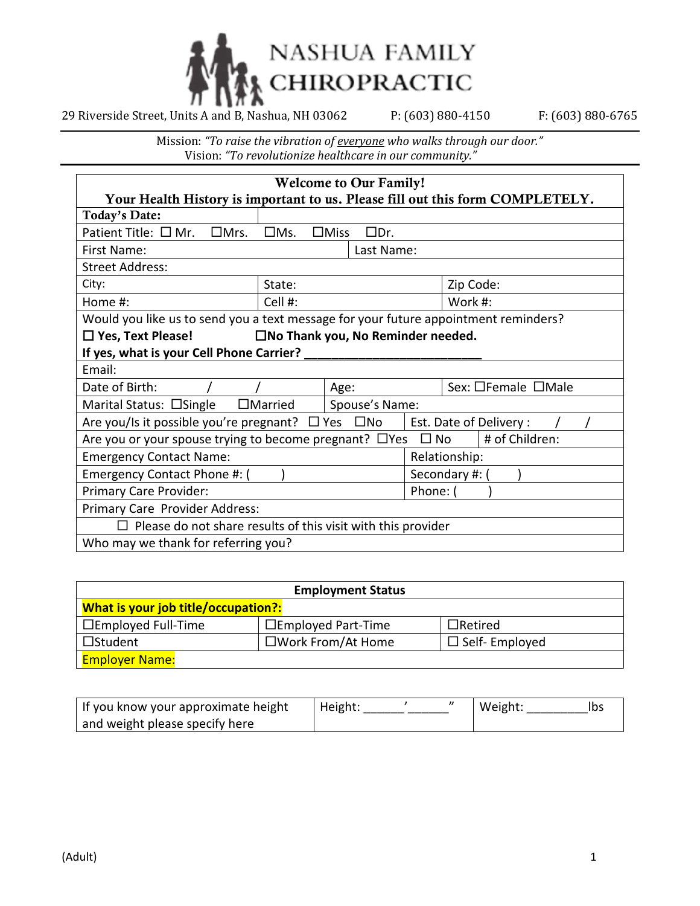

| <b>Welcome to Our Family!</b>                                                                  |               |                              |  |           |
|------------------------------------------------------------------------------------------------|---------------|------------------------------|--|-----------|
| Your Health History is important to us. Please fill out this form COMPLETELY.                  |               |                              |  |           |
| <b>Today's Date:</b>                                                                           |               |                              |  |           |
| Patient Title: $\square$ Mr. $\square$ Mrs.                                                    | $\square$ Ms. | $\square$ Miss<br>$\Box$ Dr. |  |           |
| First Name:                                                                                    |               | Last Name:                   |  |           |
| <b>Street Address:</b>                                                                         |               |                              |  |           |
| City:                                                                                          | State:        |                              |  | Zip Code: |
| Home #:                                                                                        | Cell #:       |                              |  | Work #:   |
| Would you like us to send you a text message for your future appointment reminders?            |               |                              |  |           |
| $\Box$ Yes, Text Please! $\Box$ No Thank you, No Reminder needed.                              |               |                              |  |           |
| If yes, what is your Cell Phone Carrier? ___                                                   |               |                              |  |           |
| Email:                                                                                         |               |                              |  |           |
| Date of Birth:<br>Age:<br>Sex: □Female □Male                                                   |               |                              |  |           |
| $\Box$ Married<br>Marital Status: □Single<br>Spouse's Name:                                    |               |                              |  |           |
| Are you/Is it possible you're pregnant? $\Box$ Yes $\Box$ No<br>Est. Date of Delivery:         |               |                              |  |           |
| # of Children:<br>Are you or your spouse trying to become pregnant? $\Box$ Yes<br>$\square$ No |               |                              |  |           |
| <b>Emergency Contact Name:</b><br>Relationship:                                                |               |                              |  |           |
| Emergency Contact Phone #: (<br>Secondary #: (                                                 |               |                              |  |           |
| Primary Care Provider:<br>Phone: (                                                             |               |                              |  |           |
| Primary Care Provider Address:                                                                 |               |                              |  |           |
| Please do not share results of this visit with this provider                                   |               |                              |  |           |
| Who may we thank for referring you?                                                            |               |                              |  |           |

| <b>Employment Status</b>                                              |                           |                |  |  |
|-----------------------------------------------------------------------|---------------------------|----------------|--|--|
| What is your job title/occupation?:                                   |                           |                |  |  |
| $\Box$ Employed Full-Time                                             | $\Box$ Employed Part-Time | $\Box$ Retired |  |  |
| $\square$ Work From/At Home<br>$\Box$ Self-Employed<br>$\Box$ Student |                           |                |  |  |
| <b>Employer Name:</b>                                                 |                           |                |  |  |

| If you know your approximate height | Height: |  | Weight: | Ibs |
|-------------------------------------|---------|--|---------|-----|
| and weight please specify here      |         |  |         |     |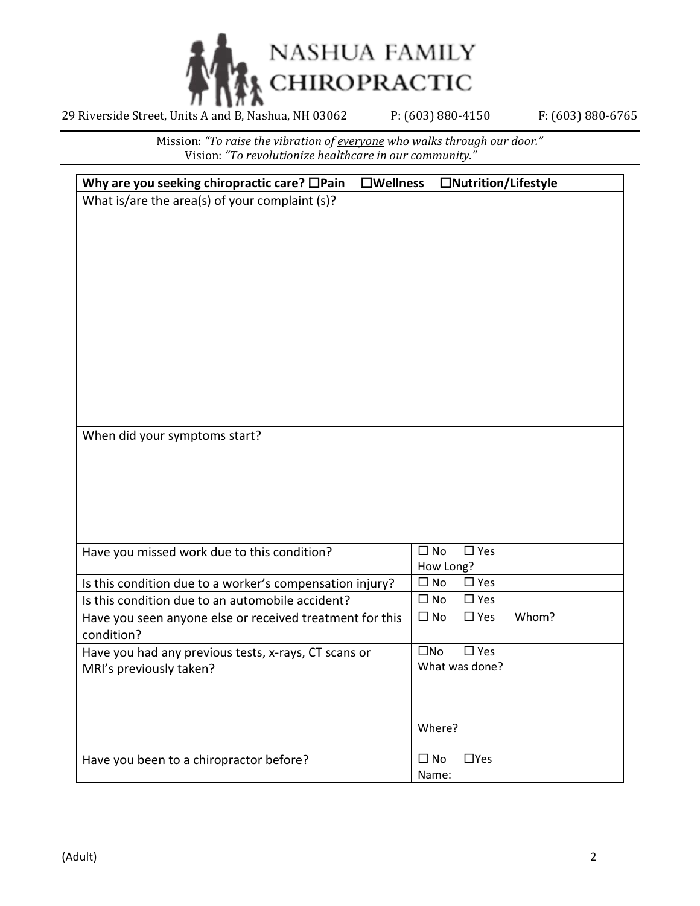

| Why are you seeking chiropractic care? $\Box$ Pain<br>$\square$ Wellness | □Nutrition/Lifestyle                   |
|--------------------------------------------------------------------------|----------------------------------------|
| What is/are the area(s) of your complaint (s)?                           |                                        |
|                                                                          |                                        |
|                                                                          |                                        |
|                                                                          |                                        |
|                                                                          |                                        |
|                                                                          |                                        |
|                                                                          |                                        |
|                                                                          |                                        |
|                                                                          |                                        |
|                                                                          |                                        |
|                                                                          |                                        |
|                                                                          |                                        |
|                                                                          |                                        |
| When did your symptoms start?                                            |                                        |
|                                                                          |                                        |
|                                                                          |                                        |
|                                                                          |                                        |
|                                                                          |                                        |
|                                                                          |                                        |
|                                                                          | $\square$ Yes                          |
| Have you missed work due to this condition?                              | $\square$ No<br>How Long?              |
| Is this condition due to a worker's compensation injury?                 | $\square$ Yes<br>$\square$ No          |
| Is this condition due to an automobile accident?                         | $\square$ No<br>$\square$ Yes          |
| Have you seen anyone else or received treatment for this                 | Whom?<br>$\square$ No<br>$\square$ Yes |
| condition?                                                               |                                        |
| Have you had any previous tests, x-rays, CT scans or                     | $\square$ No<br>$\square$ Yes          |
| MRI's previously taken?                                                  | What was done?                         |
|                                                                          |                                        |
|                                                                          |                                        |
|                                                                          |                                        |
|                                                                          | Where?                                 |
| Have you been to a chiropractor before?                                  | $\square$ No<br>$\Box$ Yes             |
|                                                                          | Name:                                  |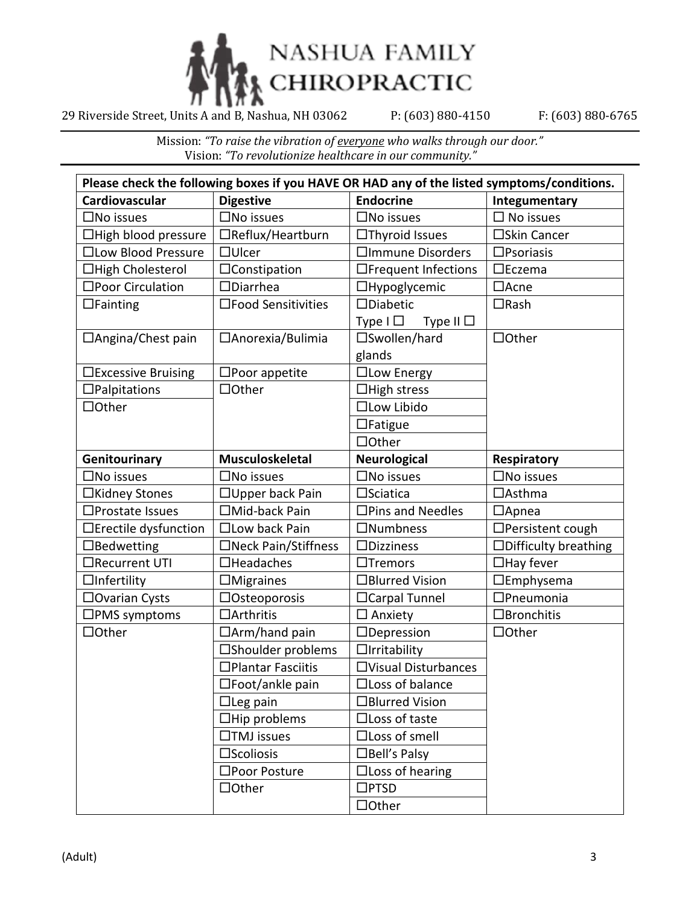

| Please check the following boxes if you HAVE OR HAD any of the listed symptoms/conditions. |                           |                                 |                             |
|--------------------------------------------------------------------------------------------|---------------------------|---------------------------------|-----------------------------|
| Cardiovascular                                                                             | <b>Digestive</b>          | <b>Endocrine</b>                | Integumentary               |
| $\square$ No issues                                                                        | $\square$ No issues       | $\square$ No issues             | No issues                   |
| $\Box$ High blood pressure                                                                 | □Reflux/Heartburn         | $\Box$ Thyroid Issues           | □Skin Cancer                |
| □Low Blood Pressure                                                                        | $\Box$ Ulcer              | □Immune Disorders               | $\square$ Psoriasis         |
| □High Cholesterol                                                                          | $\Box$ Constipation       | □Frequent Infections            | $\square$ Eczema            |
| □Poor Circulation                                                                          | $\Box$ Diarrhea           | □Hypoglycemic                   | $\Box$ Acne                 |
| $\Box$ Fainting                                                                            | □Food Sensitivities       | □Diabetic                       | $\Box$ Rash                 |
|                                                                                            |                           | Type $I \Box$<br>Type II $\Box$ |                             |
| $\Box$ Angina/Chest pain                                                                   | □Anorexia/Bulimia         | □Swollen/hard                   | $\Box$ Other                |
|                                                                                            |                           | glands                          |                             |
| □Excessive Bruising                                                                        | $\square$ Poor appetite   | $\Box$ Low Energy               |                             |
| $\Box$ Palpitations                                                                        | $\Box$ Other              | $\Box$ High stress              |                             |
| $\Box$ Other                                                                               |                           | □Low Libido                     |                             |
|                                                                                            |                           | $\Box$ Fatigue                  |                             |
|                                                                                            |                           | $\Box$ Other                    |                             |
| Genitourinary                                                                              | <b>Musculoskeletal</b>    | <b>Neurological</b>             | Respiratory                 |
| $\square$ No issues                                                                        | $\square$ No issues       | $\square$ No issues             | $\square$ No issues         |
| □Kidney Stones                                                                             | □ Upper back Pain         | $\square$ Sciatica              | $\Box$ Asthma               |
| $\square$ Prostate Issues                                                                  | □Mid-back Pain            | $\square$ Pins and Needles      | $\Box$ Apnea                |
| □Erectile dysfunction                                                                      | $\Box$ Low back Pain      | $\Box$ Numbness                 | $\Box$ Persistent cough     |
| $\Box$ Bedwetting                                                                          | □Neck Pain/Stiffness      | $\square$ Dizziness             | $\Box$ Difficulty breathing |
| □Recurrent UTI                                                                             | $\Box$ Headaches          | $\Box$ Tremors                  | $\Box$ Hay fever            |
| $\Box$ Infertility                                                                         | $\Box$ Migraines          | □Blurred Vision                 | $\Box$ Emphysema            |
| □ Ovarian Cysts                                                                            | $\Box$ Osteoporosis       | □ Carpal Tunnel                 | □Pneumonia                  |
| $\square$ PMS symptoms                                                                     | □Arthritis                | $\Box$ Anxiety                  | □Bronchitis                 |
| $\Box$ Other                                                                               | $\Box$ Arm/hand pain      | □Depression                     | $\Box$ Other                |
|                                                                                            | □Shoulder problems        | $\Box$ Irritability             |                             |
|                                                                                            | □Plantar Fasciitis        | □Visual Disturbances            |                             |
|                                                                                            | $\square$ Foot/ankle pain | $\Box$ Loss of balance          |                             |
|                                                                                            | $\Box$ Leg pain           | □Blurred Vision                 |                             |
|                                                                                            | $\Box$ Hip problems       | $\Box$ Loss of taste            |                             |
|                                                                                            | $\Box$ TMJ issues         | $\Box$ Loss of smell            |                             |
|                                                                                            | $\square$ Scoliosis       | □Bell's Palsy                   |                             |
|                                                                                            | □Poor Posture             | $\Box$ Loss of hearing          |                             |
|                                                                                            | $\Box$ Other              | $\square$ PTSD                  |                             |
|                                                                                            |                           | $\Box$ Other                    |                             |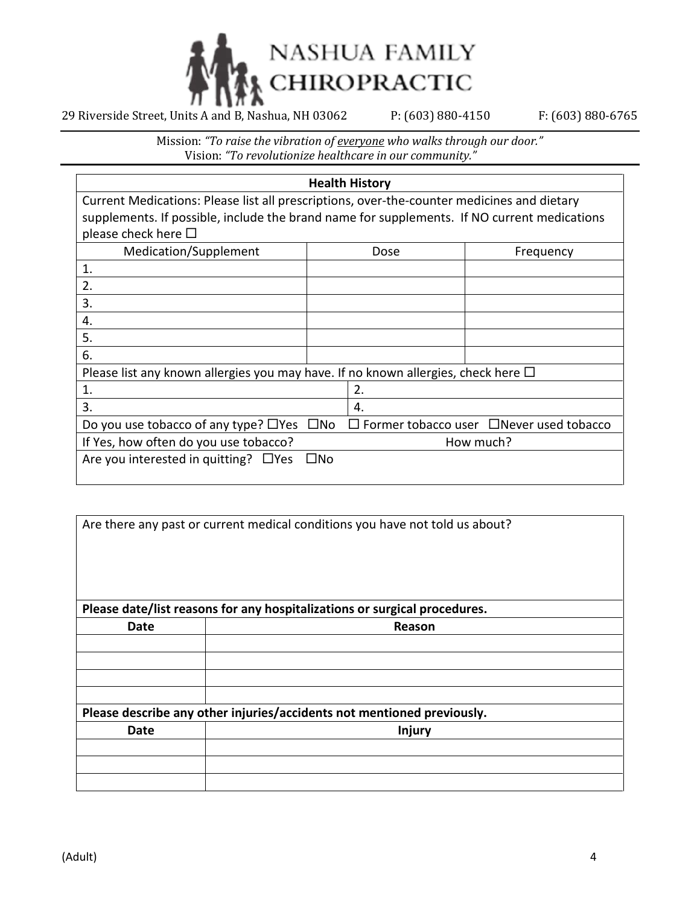

|                                                                                             |              | <b>Health History</b> |                                                            |
|---------------------------------------------------------------------------------------------|--------------|-----------------------|------------------------------------------------------------|
| Current Medications: Please list all prescriptions, over-the-counter medicines and dietary  |              |                       |                                                            |
| supplements. If possible, include the brand name for supplements. If NO current medications |              |                       |                                                            |
| please check here $\square$                                                                 |              |                       |                                                            |
| Medication/Supplement                                                                       |              | Dose                  | Frequency                                                  |
| 1.                                                                                          |              |                       |                                                            |
| 2.                                                                                          |              |                       |                                                            |
| 3.                                                                                          |              |                       |                                                            |
| 4.                                                                                          |              |                       |                                                            |
| 5.                                                                                          |              |                       |                                                            |
| 6.                                                                                          |              |                       |                                                            |
| Please list any known allergies you may have. If no known allergies, check here $\Box$      |              |                       |                                                            |
| 1.                                                                                          |              | 2.                    |                                                            |
| 3.                                                                                          |              | 4.                    |                                                            |
| Do you use tobacco of any type? $\Box$ Yes                                                  | $\square$ No |                       | $\square$ Former tobacco user $\square$ Never used tobacco |
| If Yes, how often do you use tobacco?                                                       |              |                       | How much?                                                  |
| Are you interested in quitting? $\Box$ Yes                                                  | $\square$ No |                       |                                                            |
|                                                                                             |              |                       |                                                            |

|      | Are there any past or current medical conditions you have not told us about? |
|------|------------------------------------------------------------------------------|
|      | Please date/list reasons for any hospitalizations or surgical procedures.    |
| Date | Reason                                                                       |
|      |                                                                              |
|      |                                                                              |
|      |                                                                              |
|      | Please describe any other injuries/accidents not mentioned previously.       |
| Date | Injury                                                                       |
|      |                                                                              |
|      |                                                                              |
|      |                                                                              |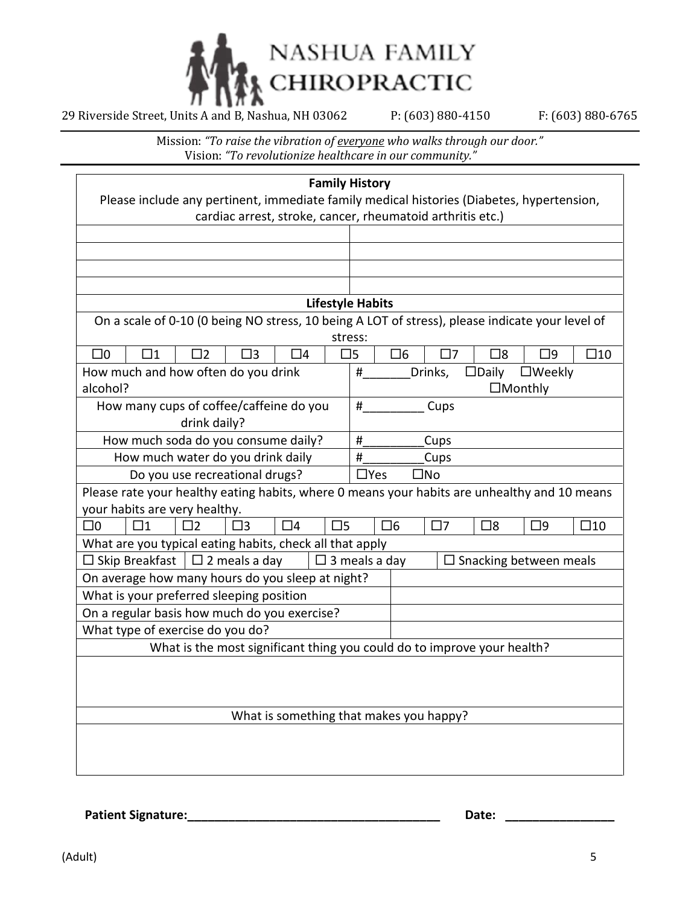

Mission: *"To raise the vibration of everyone who walks through our door."* Vision: *"To revolutionize healthcare in our community."*

| <b>Family History</b>                                                                                                                                   |                                                                                                 |  |  |  |
|---------------------------------------------------------------------------------------------------------------------------------------------------------|-------------------------------------------------------------------------------------------------|--|--|--|
| Please include any pertinent, immediate family medical histories (Diabetes, hypertension,<br>cardiac arrest, stroke, cancer, rheumatoid arthritis etc.) |                                                                                                 |  |  |  |
|                                                                                                                                                         |                                                                                                 |  |  |  |
|                                                                                                                                                         |                                                                                                 |  |  |  |
|                                                                                                                                                         |                                                                                                 |  |  |  |
|                                                                                                                                                         |                                                                                                 |  |  |  |
|                                                                                                                                                         | <b>Lifestyle Habits</b>                                                                         |  |  |  |
|                                                                                                                                                         | On a scale of 0-10 (0 being NO stress, 10 being A LOT of stress), please indicate your level of |  |  |  |
|                                                                                                                                                         | stress:                                                                                         |  |  |  |
| $\square$ 0<br>$\square$ 1<br>$\square$ 2<br>$\square$ 3<br>□4                                                                                          | $\square$ 6<br>$\square$ 8<br>$\square$ 9<br>$\square$ 10<br>囗5<br>$\square$ 7                  |  |  |  |
| How much and how often do you drink                                                                                                                     | #<br>Drinks,<br>$\square$ Daily<br>$\square$ Weekly                                             |  |  |  |
| alcohol?                                                                                                                                                | $\Box$ Monthly                                                                                  |  |  |  |
| How many cups of coffee/caffeine do you                                                                                                                 | #<br>Cups                                                                                       |  |  |  |
| drink daily?                                                                                                                                            |                                                                                                 |  |  |  |
| How much soda do you consume daily?                                                                                                                     | #<br>Cups                                                                                       |  |  |  |
| How much water do you drink daily                                                                                                                       | #<br>Cups                                                                                       |  |  |  |
| Do you use recreational drugs?                                                                                                                          | $\Box$ Yes<br>$\square$ No                                                                      |  |  |  |
| Please rate your healthy eating habits, where 0 means your habits are unhealthy and 10 means                                                            |                                                                                                 |  |  |  |
| your habits are very healthy.                                                                                                                           |                                                                                                 |  |  |  |
| $\square$<br>$\square$ 0<br>$\square$ 1<br>$\square$<br>$\square$ 3<br>$\Box 4$                                                                         | $\Box 6$<br>$\square$ 7<br>$\square$ 8<br>$\square$ 10<br>$\square$                             |  |  |  |
| What are you typical eating habits, check all that apply                                                                                                |                                                                                                 |  |  |  |
| $\Box$ 2 meals a day<br>$\square$ 3 meals a day<br>$\Box$ Skip Breakfast<br>$\square$ Snacking between meals                                            |                                                                                                 |  |  |  |
| On average how many hours do you sleep at night?                                                                                                        |                                                                                                 |  |  |  |
| What is your preferred sleeping position                                                                                                                |                                                                                                 |  |  |  |
| On a regular basis how much do you exercise?                                                                                                            |                                                                                                 |  |  |  |
| What type of exercise do you do?                                                                                                                        |                                                                                                 |  |  |  |
| What is the most significant thing you could do to improve your health?                                                                                 |                                                                                                 |  |  |  |
|                                                                                                                                                         |                                                                                                 |  |  |  |
|                                                                                                                                                         |                                                                                                 |  |  |  |
|                                                                                                                                                         |                                                                                                 |  |  |  |
| What is something that makes you happy?                                                                                                                 |                                                                                                 |  |  |  |
|                                                                                                                                                         |                                                                                                 |  |  |  |
|                                                                                                                                                         |                                                                                                 |  |  |  |
|                                                                                                                                                         |                                                                                                 |  |  |  |

**Patient Signature:\_\_\_\_\_\_\_\_\_\_\_\_\_\_\_\_\_\_\_\_\_\_\_\_\_\_\_\_\_\_\_\_\_\_\_\_\_ Date: \_\_\_\_\_\_\_\_\_\_\_\_\_\_\_\_**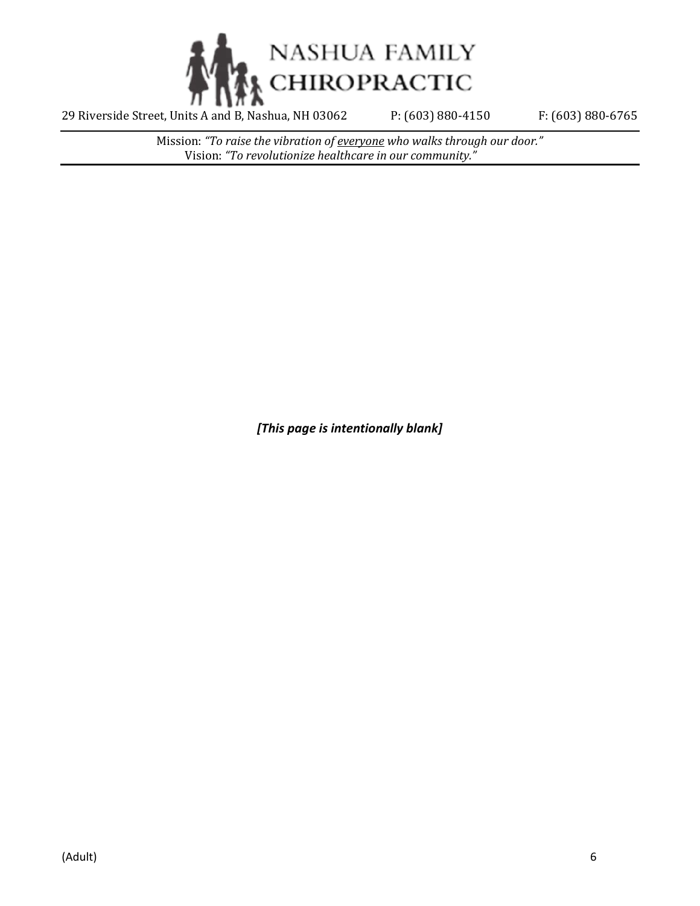

Mission: *"To raise the vibration of everyone who walks through our door."* Vision: *"To revolutionize healthcare in our community."*

*[This page is intentionally blank]*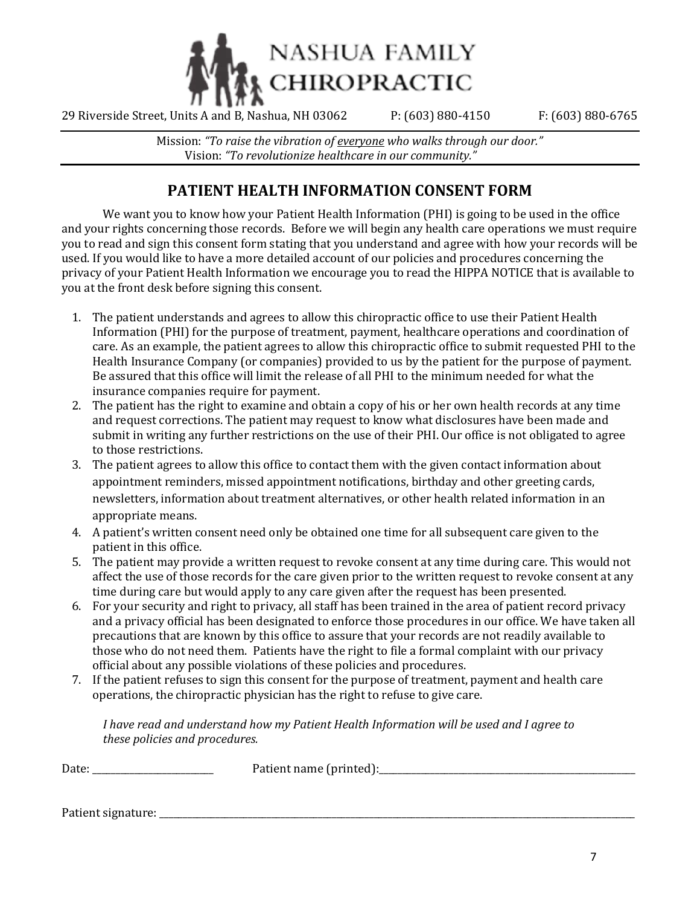

Mission: *"To raise the vibration of everyone who walks through our door."* Vision: *"To revolutionize healthcare in our community."*

# **PATIENT HEALTH INFORMATION CONSENT FORM**

We want you to know how your Patient Health Information (PHI) is going to be used in the office and your rights concerning those records. Before we will begin any health care operations we must require you to read and sign this consent form stating that you understand and agree with how your records will be used. If you would like to have a more detailed account of our policies and procedures concerning the privacy of your Patient Health Information we encourage you to read the HIPPA NOTICE that is available to you at the front desk before signing this consent.

- 1. The patient understands and agrees to allow this chiropractic office to use their Patient Health Information (PHI) for the purpose of treatment, payment, healthcare operations and coordination of care. As an example, the patient agrees to allow this chiropractic office to submit requested PHI to the Health Insurance Company (or companies) provided to us by the patient for the purpose of payment. Be assured that this office will limit the release of all PHI to the minimum needed for what the insurance companies require for payment.
- 2. The patient has the right to examine and obtain a copy of his or her own health records at any time and request corrections. The patient may request to know what disclosures have been made and submit in writing any further restrictions on the use of their PHI. Our office is not obligated to agree to those restrictions.
- 3. The patient agrees to allow this office to contact them with the given contact information about appointment reminders, missed appointment notifications, birthday and other greeting cards, newsletters, information about treatment alternatives, or other health related information in an appropriate means.
- 4. A patient's written consent need only be obtained one time for all subsequent care given to the patient in this office.
- 5. The patient may provide a written request to revoke consent at any time during care. This would not affect the use of those records for the care given prior to the written request to revoke consent at any time during care but would apply to any care given after the request has been presented.
- 6. For your security and right to privacy, all staff has been trained in the area of patient record privacy and a privacy official has been designated to enforce those procedures in our office. We have taken all precautions that are known by this office to assure that your records are not readily available to those who do not need them. Patients have the right to file a formal complaint with our privacy official about any possible violations of these policies and procedures.
- 7. If the patient refuses to sign this consent for the purpose of treatment, payment and health care operations, the chiropractic physician has the right to refuse to give care.

*I have read and understand how my Patient Health Information will be used and I agree to these policies and procedures.*

| $\sqrt{2}$ |  |
|------------|--|
|            |  |

Patient signature: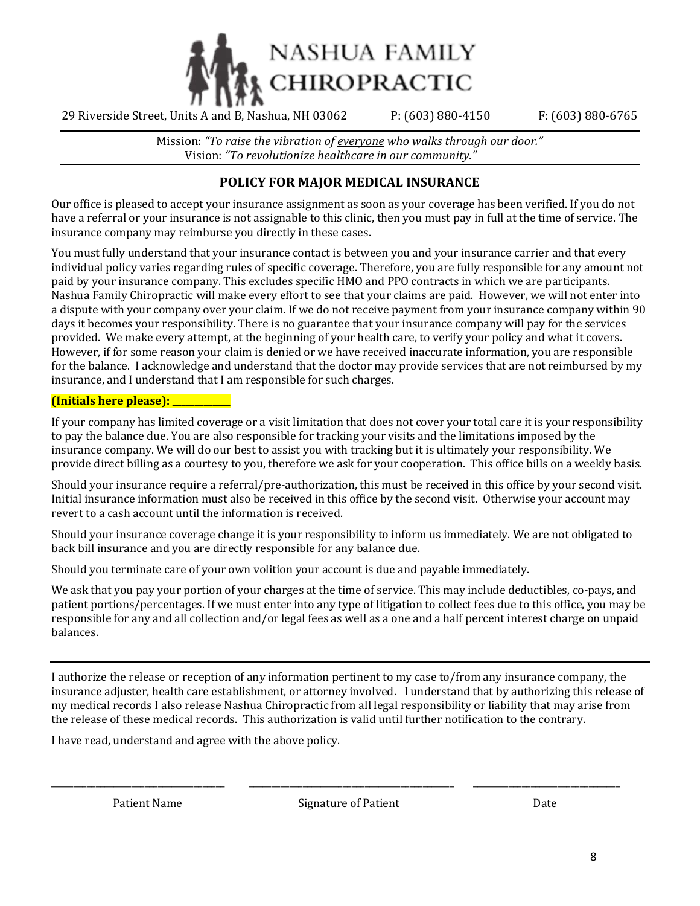

Mission: *"To raise the vibration of everyone who walks through our door."* Vision: *"To revolutionize healthcare in our community."*

## **POLICY FOR MAJOR MEDICAL INSURANCE**

Our office is pleased to accept your insurance assignment as soon as your coverage has been verified. If you do not have a referral or your insurance is not assignable to this clinic, then you must pay in full at the time of service. The insurance company may reimburse you directly in these cases.

You must fully understand that your insurance contact is between you and your insurance carrier and that every individual policy varies regarding rules of specific coverage. Therefore, you are fully responsible for any amount not paid by your insurance company. This excludes specific HMO and PPO contracts in which we are participants. Nashua Family Chiropractic will make every effort to see that your claims are paid. However, we will not enter into a dispute with your company over your claim. If we do not receive payment from your insurance company within 90 days it becomes your responsibility. There is no guarantee that your insurance company will pay for the services provided. We make every attempt, at the beginning of your health care, to verify your policy and what it covers. However, if for some reason your claim is denied or we have received inaccurate information, you are responsible for the balance. I acknowledge and understand that the doctor may provide services that are not reimbursed by my insurance, and I understand that I am responsible for such charges.

#### **(Initials here please): \_\_\_\_\_\_\_\_\_\_\_\_\_**

If your company has limited coverage or a visit limitation that does not cover your total care it is your responsibility to pay the balance due. You are also responsible for tracking your visits and the limitations imposed by the insurance company. We will do our best to assist you with tracking but it is ultimately your responsibility. We provide direct billing as a courtesy to you, therefore we ask for your cooperation. This office bills on a weekly basis.

Should your insurance require a referral/pre-authorization, this must be received in this office by your second visit. Initial insurance information must also be received in this office by the second visit. Otherwise your account may revert to a cash account until the information is received.

Should your insurance coverage change it is your responsibility to inform us immediately. We are not obligated to back bill insurance and you are directly responsible for any balance due.

Should you terminate care of your own volition your account is due and payable immediately.

We ask that you pay your portion of your charges at the time of service. This may include deductibles, co-pays, and patient portions/percentages. If we must enter into any type of litigation to collect fees due to this office, you may be responsible for any and all collection and/or legal fees as well as a one and a half percent interest charge on unpaid balances.

I authorize the release or reception of any information pertinent to my case to/from any insurance company, the insurance adjuster, health care establishment, or attorney involved. I understand that by authorizing this release of my medical records I also release Nashua Chiropractic from all legal responsibility or liability that may arise from the release of these medical records. This authorization is valid until further notification to the contrary.

I have read, understand and agree with the above policy.

Patient Name Signature of Patient Date Date

\_\_\_\_\_\_\_\_\_\_\_\_\_\_\_\_\_\_\_\_\_\_\_\_\_\_\_\_\_\_\_\_\_\_\_\_\_\_\_ \_\_\_\_\_\_\_\_\_\_\_\_\_\_\_\_\_\_\_\_\_\_\_\_\_\_\_\_\_\_\_\_\_\_\_\_\_\_\_\_\_\_\_\_\_\_ \_\_\_\_\_\_\_\_\_\_\_\_\_\_\_\_\_\_\_\_\_\_\_\_\_\_\_\_\_\_\_\_\_